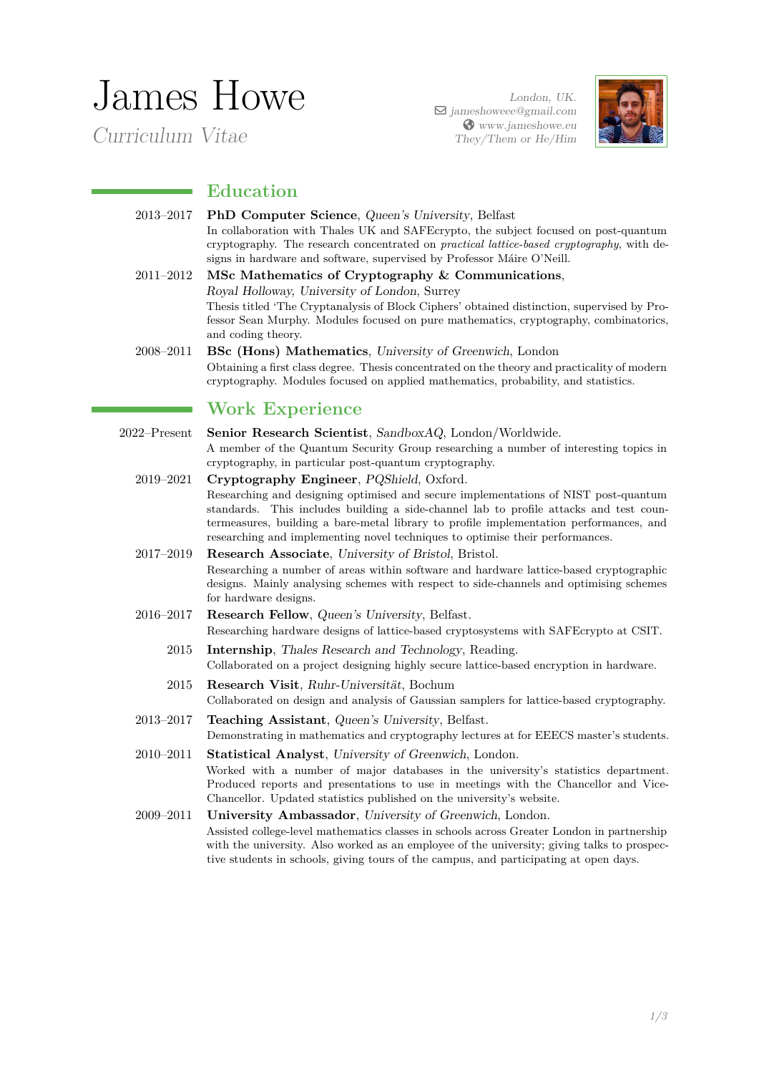# James Howe

*Curriculum Vitae*

*London, UK.* a *jameshoweee@gmail.com* ̇ *www.jameshowe.eu They/Them or He/Him*



## **Education**

- 2013–2017 **PhD Computer Science**, *Queen's University*, Belfast In collaboration with Thales UK and SAFEcrypto, the subject focused on post-quantum cryptography. The research concentrated on *practical lattice-based cryptography*, with designs in hardware and software, supervised by Professor Máire O'Neill.
- 2011–2012 **MSc Mathematics of Cryptography & Communications**, *Royal Holloway, University of London*, Surrey Thesis titled 'The Cryptanalysis of Block Ciphers' obtained distinction, supervised by Professor Sean Murphy. Modules focused on pure mathematics, cryptography, combinatorics, and coding theory.
- 2008–2011 **BSc (Hons) Mathematics**, *University of Greenwich*, London Obtaining a first class degree. Thesis concentrated on the theory and practicality of modern cryptography. Modules focused on applied mathematics, probability, and statistics.

## **Work Experience**

- 2022–Present **Senior Research Scientist**, *SandboxAQ*, London/Worldwide. A member of the Quantum Security Group researching a number of interesting topics in cryptography, in particular post-quantum cryptography.
	- 2019–2021 **Cryptography Engineer**, *PQShield*, Oxford. Researching and designing optimised and secure implementations of NIST post-quantum standards. This includes building a side-channel lab to profile attacks and test countermeasures, building a bare-metal library to profile implementation performances, and researching and implementing novel techniques to optimise their performances.
	- 2017–2019 **Research Associate**, *University of Bristol*, Bristol. Researching a number of areas within software and hardware lattice-based cryptographic designs. Mainly analysing schemes with respect to side-channels and optimising schemes for hardware designs.
	- 2016–2017 **Research Fellow**, *Queen's University*, Belfast. Researching hardware designs of lattice-based cryptosystems with SAFEcrypto at CSIT.
		- 2015 **Internship**, *Thales Research and Technology*, Reading. Collaborated on a project designing highly secure lattice-based encryption in hardware.
		- 2015 **Research Visit**, *Ruhr-Universität*, Bochum Collaborated on design and analysis of Gaussian samplers for lattice-based cryptography.
	- 2013–2017 **Teaching Assistant**, *Queen's University*, Belfast. Demonstrating in mathematics and cryptography lectures at for EEECS master's students.
	- 2010–2011 **Statistical Analyst**, *University of Greenwich*, London. Worked with a number of major databases in the university's statistics department. Produced reports and presentations to use in meetings with the Chancellor and Vice-Chancellor. Updated statistics published on the university's website.
	- 2009–2011 **University Ambassador**, *University of Greenwich*, London. Assisted college-level mathematics classes in schools across Greater London in partnership with the university. Also worked as an employee of the university; giving talks to prospective students in schools, giving tours of the campus, and participating at open days.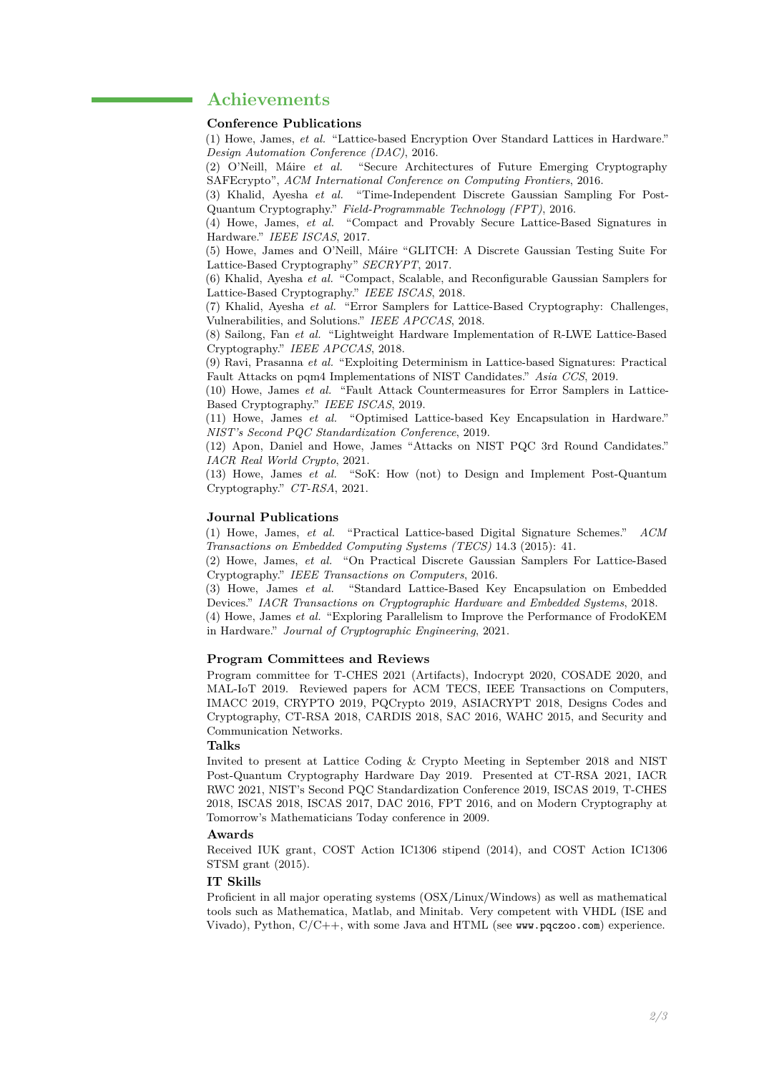## **Achievements**

#### **Conference Publications**

(1) Howe, James, *et al.* "Lattice-based Encryption Over Standard Lattices in Hardware." *Design Automation Conference (DAC)*, 2016.

(2) O'Neill, Máire *et al.* "Secure Architectures of Future Emerging Cryptography SAFEcrypto", *ACM International Conference on Computing Frontiers*, 2016.

(3) Khalid, Ayesha *et al.* "Time-Independent Discrete Gaussian Sampling For Post-Quantum Cryptography." *Field-Programmable Technology (FPT)*, 2016.

(4) Howe, James, *et al.* "Compact and Provably Secure Lattice-Based Signatures in Hardware." *IEEE ISCAS*, 2017.

(5) Howe, James and O'Neill, Máire "GLITCH: A Discrete Gaussian Testing Suite For Lattice-Based Cryptography" *SECRYPT*, 2017.

(6) Khalid, Ayesha *et al.* "Compact, Scalable, and Reconfigurable Gaussian Samplers for Lattice-Based Cryptography." *IEEE ISCAS*, 2018.

(7) Khalid, Ayesha *et al.* "Error Samplers for Lattice-Based Cryptography: Challenges, Vulnerabilities, and Solutions." *IEEE APCCAS*, 2018.

(8) Sailong, Fan *et al.* "Lightweight Hardware Implementation of R-LWE Lattice-Based Cryptography." *IEEE APCCAS*, 2018.

(9) Ravi, Prasanna *et al.* "Exploiting Determinism in Lattice-based Signatures: Practical Fault Attacks on pqm4 Implementations of NIST Candidates." *Asia CCS*, 2019.

(10) Howe, James *et al.* "Fault Attack Countermeasures for Error Samplers in Lattice-Based Cryptography." *IEEE ISCAS*, 2019.

(11) Howe, James *et al.* "Optimised Lattice-based Key Encapsulation in Hardware." *NIST's Second PQC Standardization Conference*, 2019.

(12) Apon, Daniel and Howe, James "Attacks on NIST PQC 3rd Round Candidates." *IACR Real World Crypto*, 2021.

(13) Howe, James *et al.* "SoK: How (not) to Design and Implement Post-Quantum Cryptography." *CT-RSA*, 2021.

#### **Journal Publications**

(1) Howe, James, *et al.* "Practical Lattice-based Digital Signature Schemes." *ACM Transactions on Embedded Computing Systems (TECS)* 14.3 (2015): 41.

(2) Howe, James, *et al.* "On Practical Discrete Gaussian Samplers For Lattice-Based Cryptography." *IEEE Transactions on Computers*, 2016.

(3) Howe, James *et al.* "Standard Lattice-Based Key Encapsulation on Embedded Devices." *IACR Transactions on Cryptographic Hardware and Embedded Systems*, 2018.

(4) Howe, James *et al.* "Exploring Parallelism to Improve the Performance of FrodoKEM in Hardware." *Journal of Cryptographic Engineering*, 2021.

#### **Program Committees and Reviews**

Program committee for T-CHES 2021 (Artifacts), Indocrypt 2020, COSADE 2020, and MAL-IoT 2019. Reviewed papers for ACM TECS, IEEE Transactions on Computers, IMACC 2019, CRYPTO 2019, PQCrypto 2019, ASIACRYPT 2018, Designs Codes and Cryptography, CT-RSA 2018, CARDIS 2018, SAC 2016, WAHC 2015, and Security and Communication Networks.

### **Talks**

Invited to present at Lattice Coding & Crypto Meeting in September 2018 and NIST Post-Quantum Cryptography Hardware Day 2019. Presented at CT-RSA 2021, IACR RWC 2021, NIST's Second PQC Standardization Conference 2019, ISCAS 2019, T-CHES 2018, ISCAS 2018, ISCAS 2017, DAC 2016, FPT 2016, and on Modern Cryptography at Tomorrow's Mathematicians Today conference in 2009.

#### **Awards**

Received IUK grant, COST Action IC1306 stipend (2014), and COST Action IC1306 STSM grant (2015).

#### **IT Skills**

Proficient in all major operating systems (OSX/Linux/Windows) as well as mathematical tools such as Mathematica, Matlab, and Minitab. Very competent with VHDL (ISE and Vivado), Python,  $C/C++$ , with some Java and HTML (see www.pqczoo.com) experience.